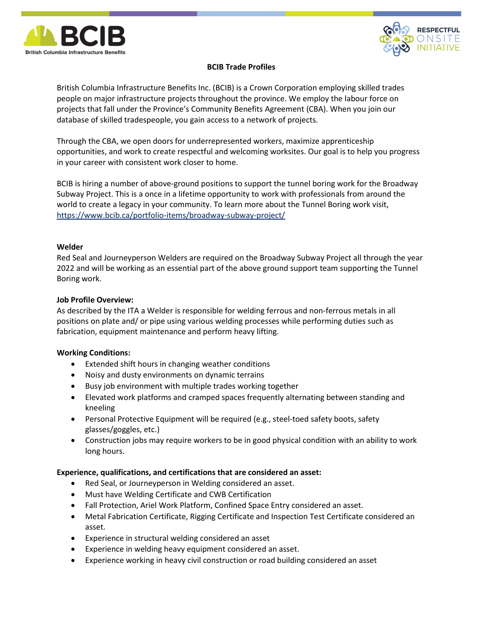



# BCIB Trade Profiles

British Columbia Infrastructure Benefits Inc. (BCIB) is a Crown Corporation employing skilled trades people on major infrastructure projects throughout the province. We employ the labour force on projects that fall under the Province's Community Benefits Agreement (CBA). When you join our database of skilled tradespeople, you gain access to a network of projects.

Through the CBA, we open doors for underrepresented workers, maximize apprenticeship opportunities, and work to create respectful and welcoming worksites. Our goal is to help you progress in your career with consistent work closer to home.

BCIB is hiring a number of above-ground positions to support the tunnel boring work for the Broadway Subway Project. This is a once in a lifetime opportunity to work with professionals from around the world to create a legacy in your community. To learn more about the Tunnel Boring work visit, https://www.bcib.ca/portfolio-items/broadway-subway-project/

## Welder

Red Seal and Journeyperson Welders are required on the Broadway Subway Project all through the year 2022 and will be working as an essential part of the above ground support team supporting the Tunnel Boring work.

## Job Profile Overview:

As described by the ITA a Welder is responsible for welding ferrous and non-ferrous metals in all positions on plate and/ or pipe using various welding processes while performing duties such as fabrication, equipment maintenance and perform heavy lifting.

## Working Conditions:

- Extended shift hours in changing weather conditions
- Noisy and dusty environments on dynamic terrains
- Busy job environment with multiple trades working together
- Elevated work platforms and cramped spaces frequently alternating between standing and kneeling
- Personal Protective Equipment will be required (e.g., steel-toed safety boots, safety glasses/goggles, etc.)
- Construction jobs may require workers to be in good physical condition with an ability to work long hours.

## Experience, qualifications, and certifications that are considered an asset:

- Red Seal, or Journeyperson in Welding considered an asset.
- Must have Welding Certificate and CWB Certification
- Fall Protection, Ariel Work Platform, Confined Space Entry considered an asset.
- Metal Fabrication Certificate, Rigging Certificate and Inspection Test Certificate considered an asset.
- Experience in structural welding considered an asset
- Experience in welding heavy equipment considered an asset.
- Experience working in heavy civil construction or road building considered an asset